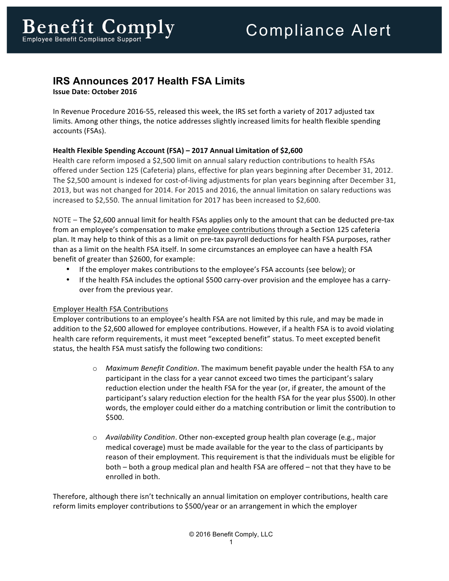## **IRS Announces 2017 Health FSA Limits**

**Issue Date: October 2016** 

In Revenue Procedure 2016-55, released this week, the IRS set forth a variety of 2017 adjusted tax limits. Among other things, the notice addresses slightly increased limits for health flexible spending accounts (FSAs).

## **Health Flexible Spending Account (FSA) – 2017 Annual Limitation of \$2,600**

Health care reform imposed a \$2,500 limit on annual salary reduction contributions to health FSAs offered under Section 125 (Cafeteria) plans, effective for plan years beginning after December 31, 2012. The \$2,500 amount is indexed for cost-of-living adjustments for plan years beginning after December 31, 2013, but was not changed for 2014. For 2015 and 2016, the annual limitation on salary reductions was increased to \$2,550. The annual limitation for 2017 has been increased to \$2,600.

NOTE – The \$2,600 annual limit for health FSAs applies only to the amount that can be deducted pre-tax from an employee's compensation to make employee contributions through a Section 125 cafeteria plan. It may help to think of this as a limit on pre-tax payroll deductions for health FSA purposes, rather than as a limit on the health FSA itself. In some circumstances an employee can have a health FSA benefit of greater than \$2600, for example:

- If the employer makes contributions to the employee's FSA accounts (see below); or
- If the health FSA includes the optional \$500 carry-over provision and the employee has a carryover from the previous year.

## Employer Health FSA Contributions

Employer contributions to an employee's health FSA are not limited by this rule, and may be made in addition to the \$2,600 allowed for employee contributions. However, if a health FSA is to avoid violating health care reform requirements, it must meet "excepted benefit" status. To meet excepted benefit status, the health FSA must satisfy the following two conditions:

- o Maximum Benefit Condition. The maximum benefit payable under the health FSA to any participant in the class for a year cannot exceed two times the participant's salary reduction election under the health FSA for the year (or, if greater, the amount of the participant's salary reduction election for the health FSA for the year plus \$500). In other words, the employer could either do a matching contribution or limit the contribution to \$500.
- o *Availability Condition*. Other non-excepted group health plan coverage (e.g., major medical coverage) must be made available for the year to the class of participants by reason of their employment. This requirement is that the individuals must be eligible for both – both a group medical plan and health FSA are offered – not that they have to be enrolled in both.

Therefore, although there isn't technically an annual limitation on employer contributions, health care reform limits employer contributions to \$500/year or an arrangement in which the employer